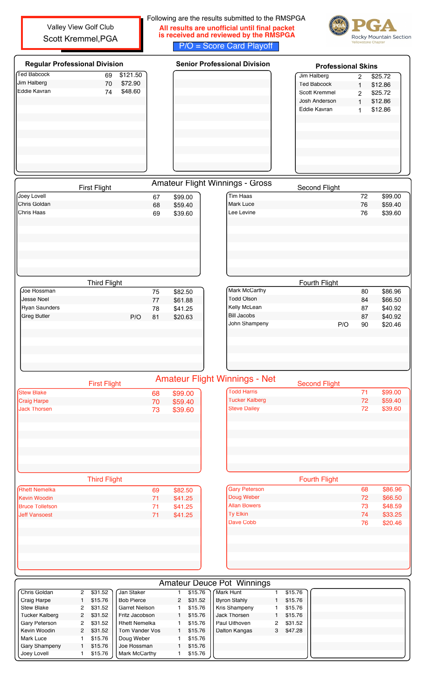Following are the results submitted to the RMSPGA Valley View Golf Club **All results are unofficial until final packet is received and reviewed by the RMSPGA** Scott Kremmel,PGARocky Mountain Section P/O = Score Card Playoff Regular Professional Division **Regular Professional Division** Professional Skins Ted Babcock 69 \$121.50<br>Jim Halberg 69 \$72.90 Jim Halberg 2 \$25.72<br>Ted Babcock 1 \$12.86 Jim Halberg 70 \$72.90<br>Eddie Kavran 74 \$48.60 Ted Babcock 1 Eddie Kavran 74 \$48.60 Scott Kremmel 2 \$25.72 Josh Anderson 1 \$12.86<br>Eddie Kavran 1 \$12.86 Eddie Kavran 1 First Flight **Amateur Flight Winnings - Gross** Second Flight Joey Lovell 67 \$99.00 Tim Haas 399.00 Mark Luce 359.40 68 \$59.40 Chris Haas 69 \$39.60 Lee Levine 76 \$39.60 Third Flight Fourth Flight Mark McCarthy 80 \$86.96<br>Todd Olson 84 \$66.50 Joe Rossman 75 \$82.50 Todd Olson 84 Jesse Noel 77 \$61.88 Kelly McLean 87 \$40.92 Ryan Saunders Bill Jacobs \$40.92 Greg Butler Contract Contract Contract P/O 81 \$20.63 John Shampeny P/O 90 \$20.46 Amateur Flight Winnings - Net First Flight Second Flight Todd Harris **71** \$99.00 Stew Blake 68 \$99.00<br>Craig Harpe 70 \$59.40 Tucker Kalberg 72 \$59.40 **Craig Harpe 70** Jack Thorsen 2008 2012 12:33 139.60 Steve Dailey **72 \$39.60** 

|                        | <b>Third Flight</b> |         |                      | <b>Fourth Flight</b> |
|------------------------|---------------------|---------|----------------------|----------------------|
| Rhett Nemelka          | 69                  | \$82.50 | <b>Gary Peterson</b> |                      |
| Kevin Woodin           | 71                  | \$41.25 | Doug Weber           |                      |
| <b>Bruce Tollefson</b> | 71                  | \$41.25 | <b>Allan Bowers</b>  |                      |
| <b>Ueff Vansoest</b>   | 71                  | \$41.25 | Ty Elkin             |                      |
|                        |                     |         | Dave Cobb            |                      |
|                        |                     |         |                      |                      |
|                        |                     |         |                      |                      |
|                        |                     |         |                      |                      |
|                        |                     |         |                      |                      |

|                      | <b>Fourth Flight</b> |         |
|----------------------|----------------------|---------|
| <b>Gary Peterson</b> | 68                   | \$86.96 |
| Doug Weber           | 72                   | \$66.50 |
| <b>Allan Bowers</b>  | 73                   | \$48.59 |
| <b>Ty Elkin</b>      | 74                   | \$33.25 |
| Dave Cobb            | 76                   | \$20.46 |
|                      |                      |         |

|                       |                      |         |                       |           | <b>Amateur Deuce Pot Winnings</b> |                |         |  |  |
|-----------------------|----------------------|---------|-----------------------|-----------|-----------------------------------|----------------|---------|--|--|
| Chris Goldan          | 2                    | \$31.52 | Jan Staker            | \$15.76   | Mark Hunt                         |                | \$15.76 |  |  |
| Craig Harpe           |                      | \$15.76 | <b>Bob Pierce</b>     | 2 \$31.52 | <b>Byron Stahly</b>               |                | \$15.76 |  |  |
| <b>Stew Blake</b>     | 2                    | \$31.52 | <b>Garret Nielson</b> | \$15.76   | Kris Shampeny                     |                | \$15.76 |  |  |
| <b>Tucker Kalberg</b> | $\mathbf{2}^{\circ}$ | \$31.52 | Fritz Jacobson        | \$15.76   | Jack Thorsen                      |                | \$15.76 |  |  |
| Gary Peterson         | 2                    | \$31.52 | <b>Rhett Nemelka</b>  | \$15.76   | Paul Uithoven                     | $\overline{2}$ | \$31.52 |  |  |
| Kevin Woodin          | $^{2}$               | \$31.52 | Tom Vander Vos        | \$15.76   | Dalton Kangas                     | 3              | \$47.28 |  |  |
| Mark Luce             |                      | \$15.76 | Doug Weber            | \$15.76   |                                   |                |         |  |  |
| <b>Gary Shampeny</b>  |                      | \$15.76 | Joe Rossman           | \$15.76   |                                   |                |         |  |  |
| Joey Lovell           |                      | \$15.76 | Mark McCarthy         | \$15.76   |                                   |                |         |  |  |